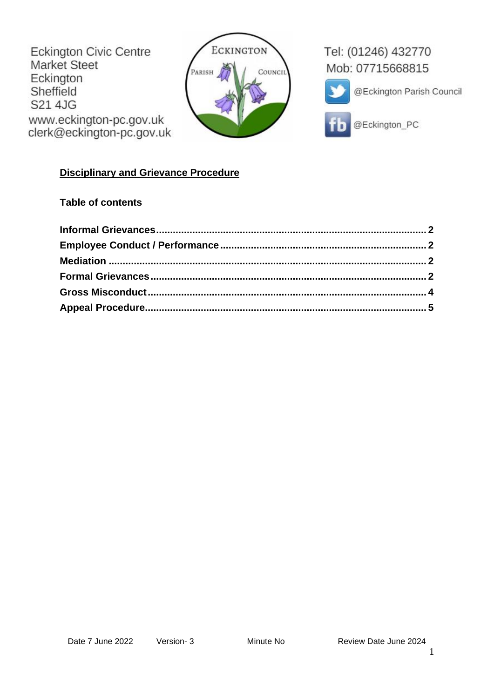Eckington Civic Centre Market Steet Eckington Sheffield S21 4JG www.eckington-pc.gov.uk clerk@eckington-pc.gov.uk



Tel: (01246) 432770 Mob: 07715668815



@Eckington Parish Council



@Eckington\_PC

# **Disciplinary and Grievance Procedure**

# **Table of contents**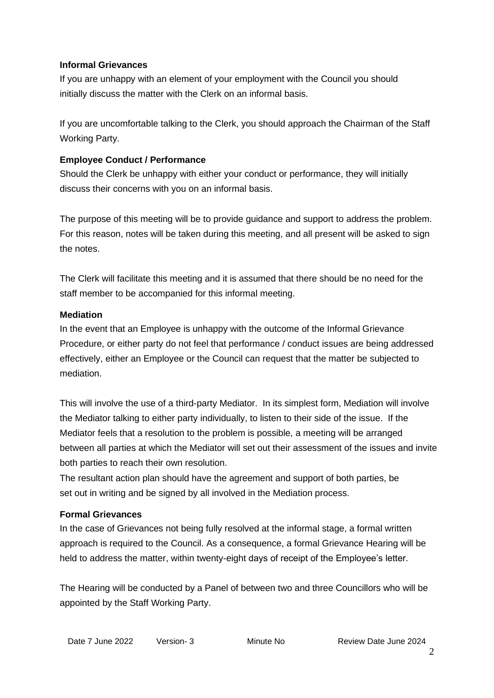#### <span id="page-1-0"></span>**Informal Grievances**

If you are unhappy with an element of your employment with the Council you should initially discuss the matter with the Clerk on an informal basis.

If you are uncomfortable talking to the Clerk, you should approach the Chairman of the Staff Working Party.

#### <span id="page-1-1"></span>**Employee Conduct / Performance**

Should the Clerk be unhappy with either your conduct or performance, they will initially discuss their concerns with you on an informal basis.

The purpose of this meeting will be to provide guidance and support to address the problem. For this reason, notes will be taken during this meeting, and all present will be asked to sign the notes.

The Clerk will facilitate this meeting and it is assumed that there should be no need for the staff member to be accompanied for this informal meeting.

#### <span id="page-1-2"></span>**Mediation**

In the event that an Employee is unhappy with the outcome of the Informal Grievance Procedure, or either party do not feel that performance / conduct issues are being addressed effectively, either an Employee or the Council can request that the matter be subjected to mediation.

This will involve the use of a third-party Mediator. In its simplest form, Mediation will involve the Mediator talking to either party individually, to listen to their side of the issue. If the Mediator feels that a resolution to the problem is possible, a meeting will be arranged between all parties at which the Mediator will set out their assessment of the issues and invite both parties to reach their own resolution.

The resultant action plan should have the agreement and support of both parties, be set out in writing and be signed by all involved in the Mediation process.

# <span id="page-1-3"></span>**Formal Grievances**

In the case of Grievances not being fully resolved at the informal stage, a formal written approach is required to the Council. As a consequence, a formal Grievance Hearing will be held to address the matter, within twenty-eight days of receipt of the Employee's letter.

The Hearing will be conducted by a Panel of between two and three Councillors who will be appointed by the Staff Working Party.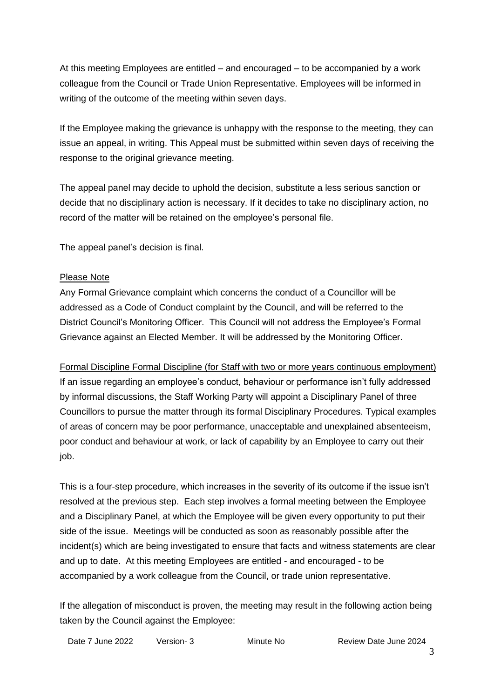At this meeting Employees are entitled – and encouraged – to be accompanied by a work colleague from the Council or Trade Union Representative. Employees will be informed in writing of the outcome of the meeting within seven days.

If the Employee making the grievance is unhappy with the response to the meeting, they can issue an appeal, in writing. This Appeal must be submitted within seven days of receiving the response to the original grievance meeting.

The appeal panel may decide to uphold the decision, substitute a less serious sanction or decide that no disciplinary action is necessary. If it decides to take no disciplinary action, no record of the matter will be retained on the employee's personal file.

The appeal panel's decision is final.

#### Please Note

Any Formal Grievance complaint which concerns the conduct of a Councillor will be addressed as a Code of Conduct complaint by the Council, and will be referred to the District Council's Monitoring Officer. This Council will not address the Employee's Formal Grievance against an Elected Member. It will be addressed by the Monitoring Officer.

Formal Discipline Formal Discipline (for Staff with two or more years continuous employment) If an issue regarding an employee's conduct, behaviour or performance isn't fully addressed by informal discussions, the Staff Working Party will appoint a Disciplinary Panel of three Councillors to pursue the matter through its formal Disciplinary Procedures. Typical examples of areas of concern may be poor performance, unacceptable and unexplained absenteeism, poor conduct and behaviour at work, or lack of capability by an Employee to carry out their job.

This is a four-step procedure, which increases in the severity of its outcome if the issue isn't resolved at the previous step. Each step involves a formal meeting between the Employee and a Disciplinary Panel, at which the Employee will be given every opportunity to put their side of the issue. Meetings will be conducted as soon as reasonably possible after the incident(s) which are being investigated to ensure that facts and witness statements are clear and up to date. At this meeting Employees are entitled - and encouraged - to be accompanied by a work colleague from the Council, or trade union representative.

If the allegation of misconduct is proven, the meeting may result in the following action being taken by the Council against the Employee:

Date 7 June 2022 Version- 3 Minute No Review Date June 2024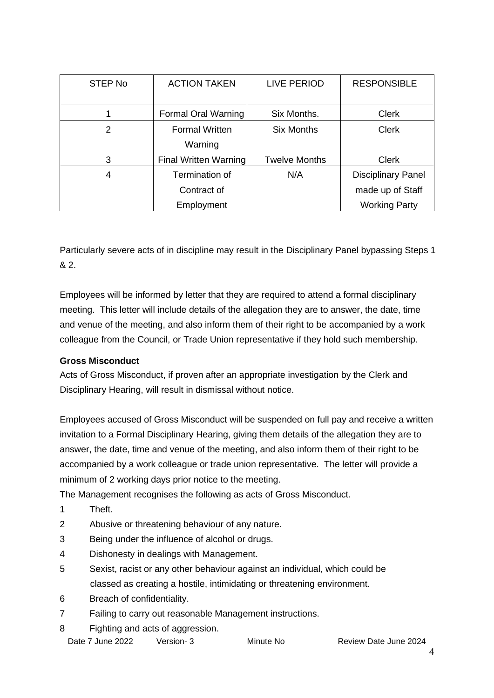| STEP No | <b>ACTION TAKEN</b>   | <b>LIVE PERIOD</b>   | <b>RESPONSIBLE</b>        |
|---------|-----------------------|----------------------|---------------------------|
|         |                       |                      |                           |
|         | Formal Oral Warning   | Six Months.          | <b>Clerk</b>              |
| 2       | <b>Formal Written</b> | <b>Six Months</b>    | <b>Clerk</b>              |
|         | Warning               |                      |                           |
| 3       | Final Written Warning | <b>Twelve Months</b> | <b>Clerk</b>              |
| 4       | Termination of        | N/A                  | <b>Disciplinary Panel</b> |
|         | Contract of           |                      | made up of Staff          |
|         | Employment            |                      | <b>Working Party</b>      |

Particularly severe acts of in discipline may result in the Disciplinary Panel bypassing Steps 1 & 2.

Employees will be informed by letter that they are required to attend a formal disciplinary meeting. This letter will include details of the allegation they are to answer, the date, time and venue of the meeting, and also inform them of their right to be accompanied by a work colleague from the Council, or Trade Union representative if they hold such membership.

# <span id="page-3-0"></span>**Gross Misconduct**

Acts of Gross Misconduct, if proven after an appropriate investigation by the Clerk and Disciplinary Hearing, will result in dismissal without notice.

Employees accused of Gross Misconduct will be suspended on full pay and receive a written invitation to a Formal Disciplinary Hearing, giving them details of the allegation they are to answer, the date, time and venue of the meeting, and also inform them of their right to be accompanied by a work colleague or trade union representative. The letter will provide a minimum of 2 working days prior notice to the meeting.

The Management recognises the following as acts of Gross Misconduct.

- 1 Theft.
- 2 Abusive or threatening behaviour of any nature.
- 3 Being under the influence of alcohol or drugs.
- 4 Dishonesty in dealings with Management.
- 5 Sexist, racist or any other behaviour against an individual, which could be classed as creating a hostile, intimidating or threatening environment.
- 6 Breach of confidentiality.
- 7 Failing to carry out reasonable Management instructions.
- 8 Fighting and acts of aggression.

|  | Date 7 June 2022 | Version-3 | Minute No | Review |
|--|------------------|-----------|-----------|--------|
|--|------------------|-----------|-----------|--------|